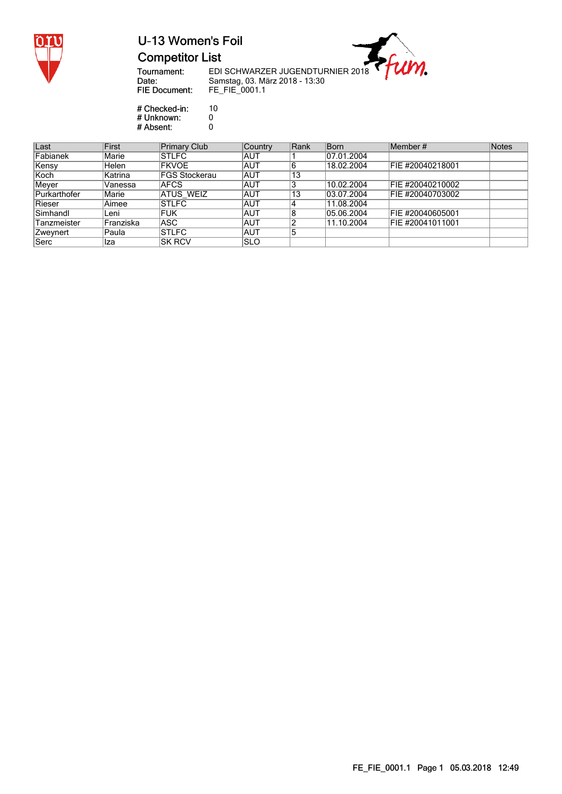

### **Competitor List**

Tournament:<br>Date:<br>FIE Document:

EDI SCHWARZER JUGENDTURNIER 2018 Samstag, 03. März 2018 - 13:30<br>FE\_FIE\_0001.1

 $\mathcal{M}.$ 

# Checked-in:  $10$ # Unknown:  $\overline{0}$ <br> $0$ # Absent:

| Last         | First     | <b>Primary Club</b>  | Country    | Rank | Born       | Member#          | Notes |
|--------------|-----------|----------------------|------------|------|------------|------------------|-------|
| Fabianek     | Marie     | <b>STLFC</b>         | AUT        |      | 07.01.2004 |                  |       |
| Kensy        | Helen     | <b>FKVOE</b>         | <b>AUT</b> |      | 18.02.2004 | FIE #20040218001 |       |
| Koch         | Katrina   | <b>FGS Stockerau</b> | IAUT       | 13   |            |                  |       |
| Meyer        | Vanessa   | <b>AFCS</b>          | <b>AUT</b> |      | 10.02.2004 | FIE #20040210002 |       |
| Purkarthofer | Marie     | ATUS WEIZ            | <b>AUT</b> | 13   | 03.07.2004 | FIE #20040703002 |       |
| Rieser       | Aimee     | <b>ISTLFC</b>        | <b>AUT</b> |      | 11.08.2004 |                  |       |
| Simhandl     | Leni      | <b>FUK</b>           | <b>AUT</b> |      | 05.06.2004 | FIE #20040605001 |       |
| Tanzmeister  | Franziska | <b>ASC</b>           | <b>AUT</b> |      | 11.10.2004 | FIE #20041011001 |       |
| ∣Zweynert    | Paula     | <b>STLFC</b>         | <b>AUT</b> |      |            |                  |       |
| Serc         | Iza       | ISK RCV              | ISLO       |      |            |                  |       |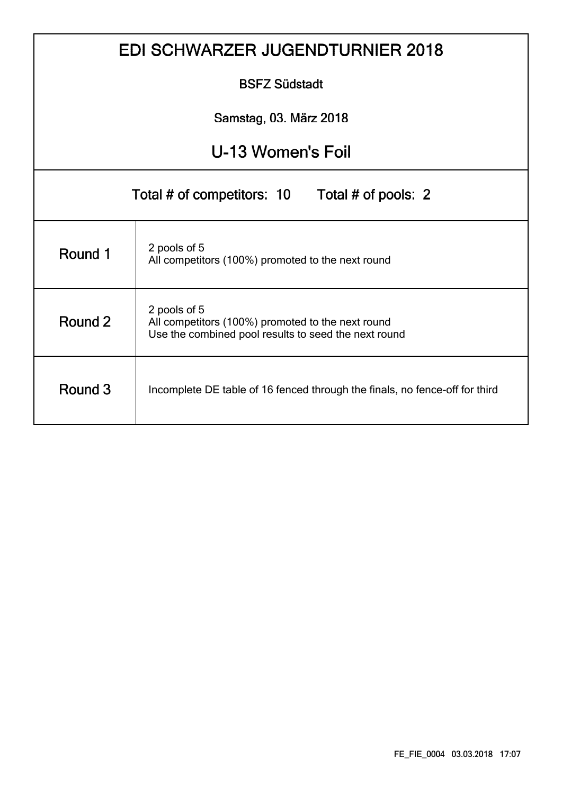|                                                | <b>EDI SCHWARZER JUGENDTURNIER 2018</b>                                                                                   |  |  |  |  |  |  |  |  |
|------------------------------------------------|---------------------------------------------------------------------------------------------------------------------------|--|--|--|--|--|--|--|--|
|                                                | <b>BSFZ Südstadt</b>                                                                                                      |  |  |  |  |  |  |  |  |
|                                                | Samstag, 03. März 2018                                                                                                    |  |  |  |  |  |  |  |  |
| U-13 Women's Foil                              |                                                                                                                           |  |  |  |  |  |  |  |  |
| Total # of competitors: 10 Total # of pools: 2 |                                                                                                                           |  |  |  |  |  |  |  |  |
| Round 1                                        | 2 pools of 5<br>All competitors (100%) promoted to the next round                                                         |  |  |  |  |  |  |  |  |
| Round 2                                        | 2 pools of 5<br>All competitors (100%) promoted to the next round<br>Use the combined pool results to seed the next round |  |  |  |  |  |  |  |  |
| Round 3                                        | Incomplete DE table of 16 fenced through the finals, no fence-off for third                                               |  |  |  |  |  |  |  |  |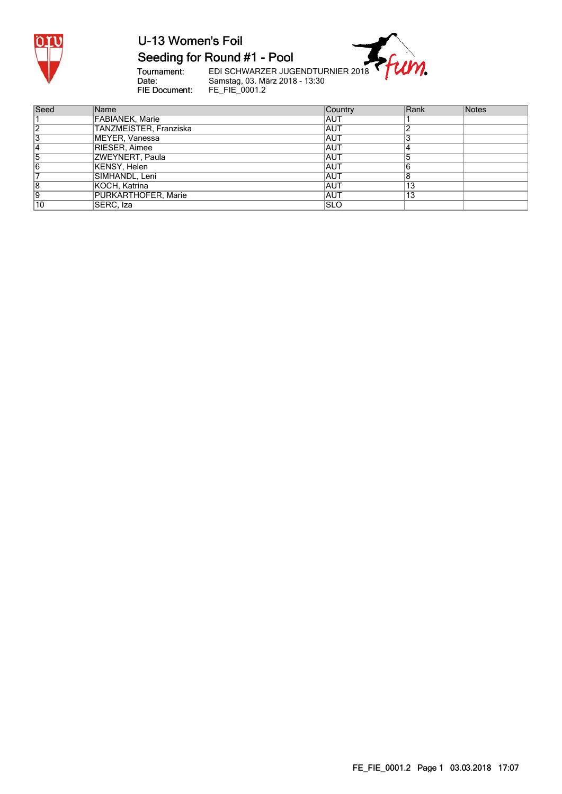

### Seeding for Round #1 - Pool

Tournament:<br>Date:<br>FIE Document:

EDI SCHWARZER JUGENDTURNIER 2018<br>Samstag, 03. März 2018 - 13:30<br>FE\_FIE\_0001.2

m.

| Seed | Name                   | Country    | Rank | <b>Notes</b> |
|------|------------------------|------------|------|--------------|
|      | <b>FABIANEK, Marie</b> | IAUT       |      |              |
| 12   | TANZMEISTER, Franziska | <b>AUT</b> |      |              |
|      | MEYER, Vanessa         | IAUT       |      |              |
|      | RIESER, Aimee          | IAUT       |      |              |
| b    | ZWEYNERT, Paula        | IAUT       |      |              |
|      | KENSY, Helen           | <b>AUT</b> |      |              |
|      | SIMHANDL, Leni         | <b>AUT</b> |      |              |
| 18   | KOCH, Katrina          | IAUT       | 13   |              |
| Ι9   | PURKARTHOFER, Marie    | <b>AUT</b> | 13   |              |
| 10   | SERC, Iza              | ISLO       |      |              |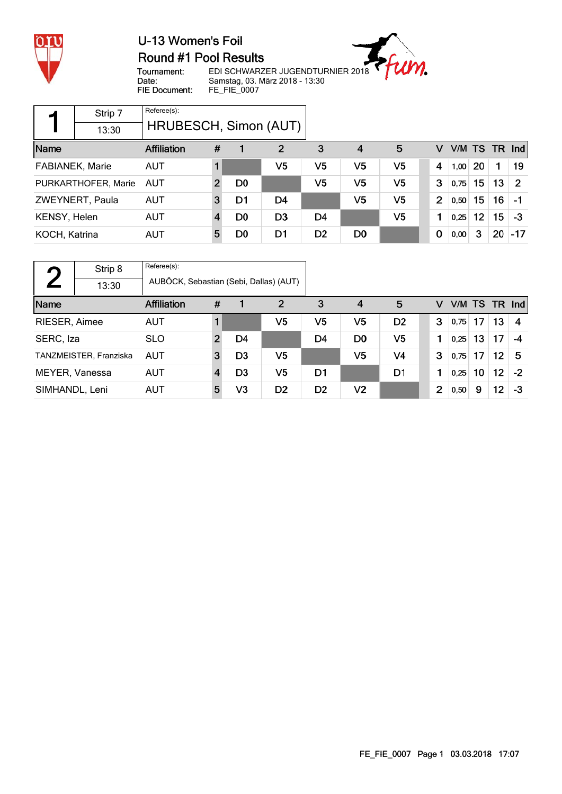

## U-13 Women's Foil Round #1 Pool Results



Tournament: Date: FIE Document: EDI SCHWARZER JUGENDTURNIER 2018 Samstag, 03. März 2018 - 13:30 FE\_FIE\_0007

|                        | Strip 7             | Referee(s):           |                |                |                |                |                |                |                |      |           |    |                |
|------------------------|---------------------|-----------------------|----------------|----------------|----------------|----------------|----------------|----------------|----------------|------|-----------|----|----------------|
|                        | 13:30               | HRUBESCH, Simon (AUT) |                |                |                |                |                |                |                |      |           |    |                |
| Name                   |                     | <b>Affiliation</b>    | #              |                | 2              | 3              | $\overline{4}$ | 5              | V              |      | V/M TS TR |    | Ind            |
| <b>FABIANEK, Marie</b> |                     | <b>AUT</b>            |                |                | V5             | V <sub>5</sub> | V5             | V <sub>5</sub> | 4              | 1,00 | <b>20</b> | 1  | 19             |
|                        | PURKARTHOFER, Marie | AUT                   | $\overline{2}$ | D <sub>0</sub> |                | V <sub>5</sub> | V5             | V <sub>5</sub> | 3              | 0,75 | 15        | 13 | $\overline{2}$ |
|                        | ZWEYNERT, Paula     | <b>AUT</b>            | 3              | D1             | D4             |                | V5             | V5             | $\overline{2}$ | 0,50 | 15        | 16 | $-1$           |
| KENSY, Helen           |                     | <b>AUT</b>            | 4              | D0             | D <sub>3</sub> | D4             |                | V5             | 1              | 0,25 | 12        | 15 | -3             |
| KOCH, Katrina          |                     | AUT                   | 5              | D0             | D1             | D <sub>2</sub> | D <sub>0</sub> |                | 0              | 0,00 | 3         | 20 | $-17$          |

|                | Strip 8                | Referee(s):                            |                |                |                |                |                |                |                |               |    |                   |      |
|----------------|------------------------|----------------------------------------|----------------|----------------|----------------|----------------|----------------|----------------|----------------|---------------|----|-------------------|------|
|                | 13:30                  | AUBÖCK, Sebastian (Sebi, Dallas) (AUT) |                |                |                |                |                |                |                |               |    |                   |      |
| Name           |                        | <b>Affiliation</b>                     | #              |                | 2              | 3              | 4              | 5              | v              | V/M TS TR Ind |    |                   |      |
| RIESER, Aimee  |                        | <b>AUT</b>                             |                |                | V <sub>5</sub> | V5             | V <sub>5</sub> | D <sub>2</sub> | 3              | 0,75          | 17 | 13                | 4    |
| SERC, Iza      |                        | <b>SLO</b>                             | $\overline{2}$ | D4             |                | D4             | D <sub>0</sub> | V <sub>5</sub> |                | 0,25          | 13 | 17                | -4   |
|                | TANZMEISTER, Franziska | <b>AUT</b>                             | 3              | D3             | V <sub>5</sub> |                | V5             | V <sub>4</sub> | 3              | 0,75          | 17 | $12 \overline{ }$ | -5   |
| MEYER, Vanessa |                        | <b>AUT</b>                             |                | D <sub>3</sub> | V5             | D1             |                | D <sub>1</sub> |                | 0,25          | 10 | 12 <sup>2</sup>   | $-2$ |
| SIMHANDL, Leni |                        | <b>AUT</b>                             | 5              | V3             | D <sub>2</sub> | D <sub>2</sub> | V <sub>2</sub> |                | $\overline{2}$ | 0,50          | 9  | 12 <sub>2</sub>   | -3   |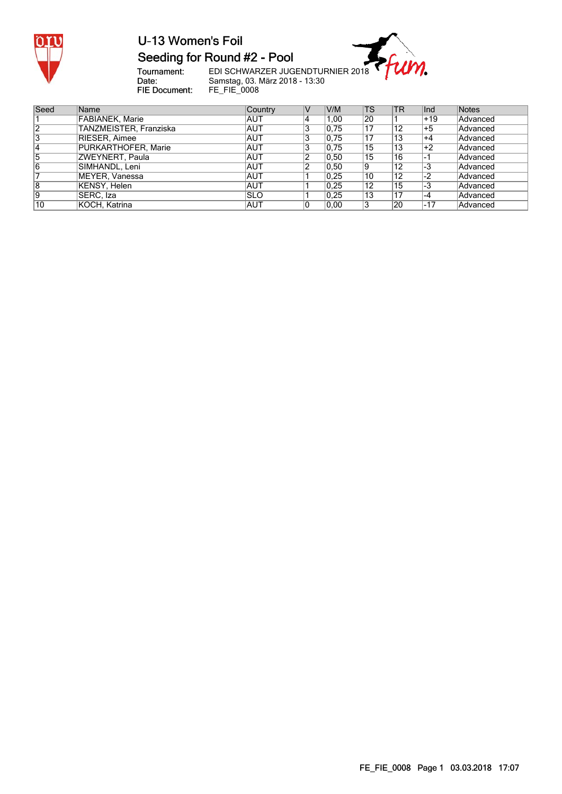

## Seeding for Round #2 - Pool

Tournament:<br>Date: FIE Document: EDI SCHWARZER JUGENDTURNIER 2018<br>Samstag, 03. März 2018 - 13:30<br>FE\_FIE\_0008

m.

| Seed | Name                   | Country    | V/M  | <b>TS</b> | T <sub>R</sub> | lInd  | <b>Notes</b> |
|------|------------------------|------------|------|-----------|----------------|-------|--------------|
|      | <b>FABIANEK, Marie</b> | <b>AUT</b> | l.OO | 20        |                | $+19$ | Advanced     |
| 12   | TANZMEISTER, Franziska | <b>AUT</b> | 0.75 | 17        | 12             | $+5$  | Advanced     |
| 3    | RIESER, Aimee          | <b>AUT</b> | 0.75 | 17        | 13             | ∣+4   | Advanced     |
| 14   | PURKARTHOFER, Marie    | <b>AUT</b> | 0.75 | 15        | 13             | +2    | Advanced     |
| 15   | ZWEYNERT, Paula        | <b>AUT</b> | 0.50 | 15        | 16             |       | Advanced     |
| 16   | SIMHANDL, Leni         | <b>AUT</b> | 0.50 | 19        | 12             | -3    | Advanced     |
|      | MEYER, Vanessa         | <b>AUT</b> | 0.25 | 10        | 12             | $-2$  | Advanced     |
| 8    | KENSY, Helen           | AUT        | 0.25 | 12        | 15             | -3    | Advanced     |
| 19   | SERC, Iza              | <b>SLO</b> | 0.25 | 13        | .17            | ⊩4    | Advanced     |
| 10   | KOCH, Katrina          | <b>AUT</b> | 0.00 | 13        | 20             | -17   | Advanced     |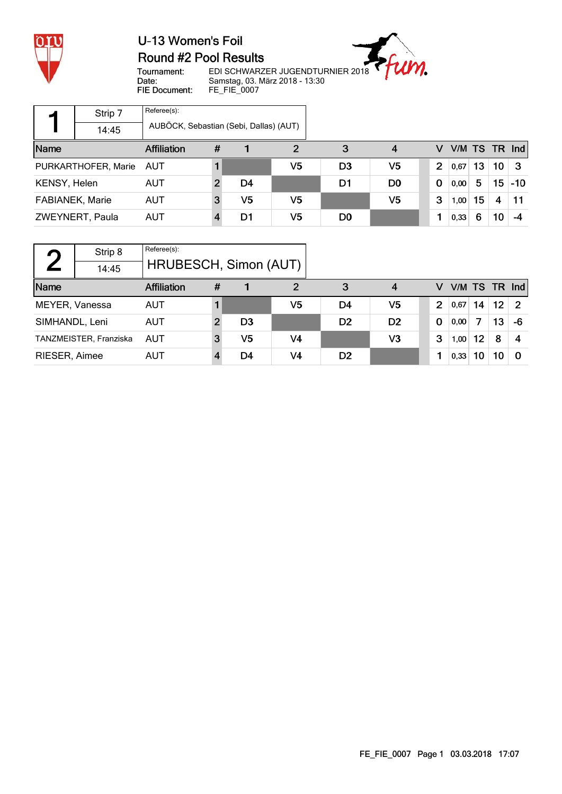

## Round #2 Pool Results

 $\eta$ .

Tournament: Date: FIE Document:

EDI SCHWARZER JUGENDTURNIER 2018 Samstag, 03. März 2018 - 13:30 FE\_FIE\_0007

|                        | Strip 7             | Referee(s):                            |   |    |    |                |                |                |              |    |                 |        |
|------------------------|---------------------|----------------------------------------|---|----|----|----------------|----------------|----------------|--------------|----|-----------------|--------|
|                        | 14:45               | AUBÖCK, Sebastian (Sebi, Dallas) (AUT) |   |    |    |                |                |                |              |    |                 |        |
| Name                   |                     | <b>Affiliation</b>                     | # |    | 2  | 3              | 4              |                | VM TS TR Ind |    |                 |        |
|                        | PURKARTHOFER, Marie | AUT                                    |   |    | V5 | D <sub>3</sub> | V <sub>5</sub> | $\overline{2}$ | 0.67         | 13 | 10              | -3     |
| KENSY, Helen           |                     | AUT                                    |   | D4 |    | D1             | D <sub>0</sub> | $\bf{0}$       | 0,00         | 5  | 15              | $ -10$ |
| <b>FABIANEK, Marie</b> |                     | <b>AUT</b>                             | 3 | V5 | V5 |                | V5             | 3              | 1,00         | 15 | 4               | -11    |
|                        | ZWEYNERT, Paula     | <b>AUT</b>                             |   | D1 | V5 | D <sub>0</sub> |                |                | 0,33         | 6  | 10 <sup>°</sup> | -4     |

| $\sqrt{2}$                       | Strip 8                | Referee(s):        |   |                |                |                |                |                |               |    |                 |               |
|----------------------------------|------------------------|--------------------|---|----------------|----------------|----------------|----------------|----------------|---------------|----|-----------------|---------------|
| HRUBESCH, Simon (AUT)  <br>14:45 |                        |                    |   |                |                |                |                |                |               |    |                 |               |
| Name                             |                        | <b>Affiliation</b> | # |                | 2              | 3              | 4              | v              | V/M TS TR Ind |    |                 |               |
| MEYER, Vanessa                   |                        | <b>AUT</b>         |   |                | V5             | D4             | V <sub>5</sub> | $\overline{2}$ | 0.67          | 14 | 12 <sup>°</sup> | $\mathcal{P}$ |
| SIMHANDL, Leni                   |                        | <b>AUT</b>         | 2 | D <sub>3</sub> |                | D <sub>2</sub> | D <sub>2</sub> | $\bf{0}$       | 0,00          |    | 13              | -6            |
|                                  | TANZMEISTER, Franziska | <b>AUT</b>         | 3 | V5             | V <sub>4</sub> |                | V3             | 3              | 1,00          | 12 | 8               |               |
| RIESER, Aimee                    |                        | AUT                |   | D4             | V4             | D <sub>2</sub> |                | 1              | 0,33          | 10 | 10              | O             |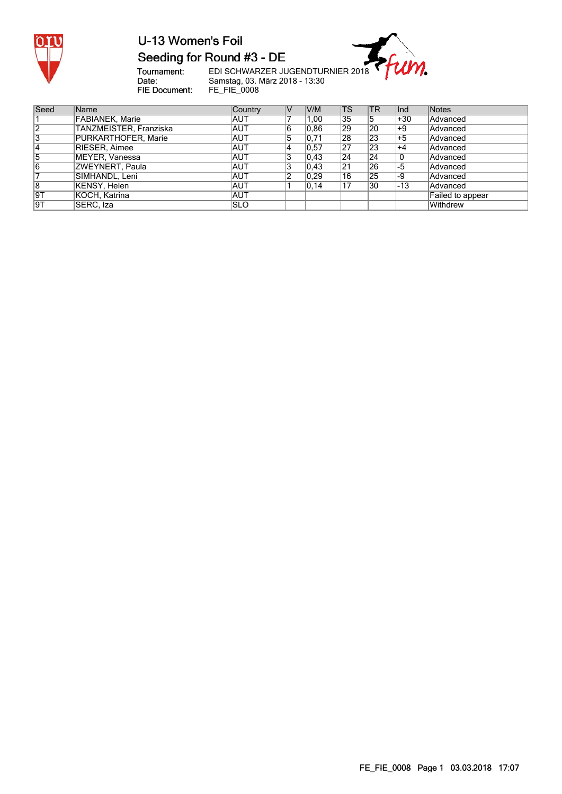

## U-13 Women's Foil Seeding for Round #3 - DE

m.

Tournament:<br>Date:<br>FIE Document:

EDI SCHWARZER JUGENDTURNIER 2018 Samstag, 03. März 2018 - 13:30 FE\_FIE\_0008

| Seed           | Name                   | Country     | IV | V/M   | <b>TS</b> | <b>TR</b> | lInd     | Notes            |
|----------------|------------------------|-------------|----|-------|-----------|-----------|----------|------------------|
|                | <b>FABIANEK, Marie</b> | <b>AUT</b>  |    | 1.00  | 35        | 5         | +30      | Advanced         |
| $\overline{2}$ | TANZMEISTER, Franziska | <b>IAUT</b> | 16 | 0.86  | 29        | 20        | ∣+9      | Advanced         |
| 3              | PURKARTHOFER, Marie    | <b>AUT</b>  | 5  | 0,71  | 28        | 23        | $+5$     | Advanced         |
| 14             | RIESER, Aimee          | <b>AUT</b>  | 14 | 0.57  | 27        | 23        | $+4$     | Advanced         |
| 5              | MEYER, Vanessa         | <b>AUT</b>  | 3  | 0,43  | 24        | 24        | $\Omega$ | Advanced         |
| 16             | ZWEYNERT, Paula        | <b>AUT</b>  | 13 | 0.43  | 21        | 26        | -5       | Advanced         |
|                | SIMHANDL. Leni         | IAUT        | 2  | 0,29  | 16        | 25        | -9       | Advanced         |
| 8              | KENSY, Helen           | <b>AUT</b>  |    | 0, 14 | 17        | 30        | -13      | Advanced         |
| 9T             | KOCH, Katrina          | IAUT        |    |       |           |           |          | Failed to appear |
| 9T             | SERC. Iza              | ISLO        |    |       |           |           |          | Withdrew         |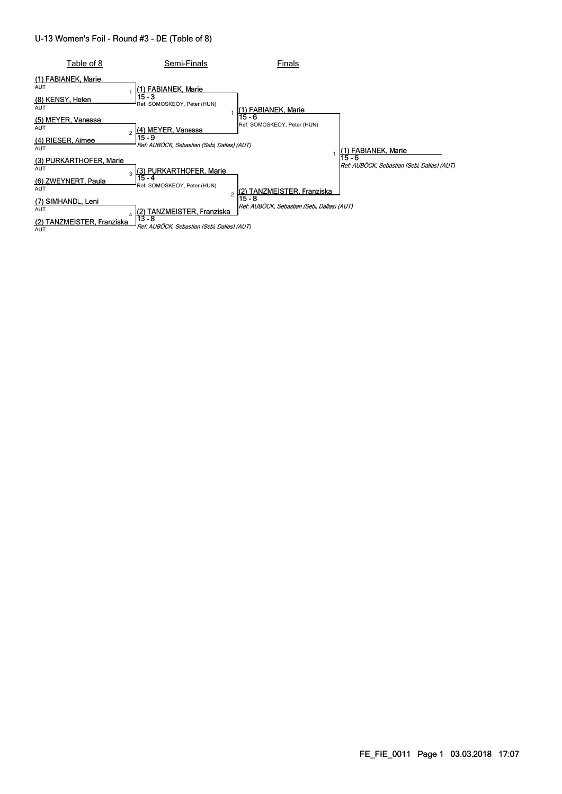#### U-13 Women's Foil - Round #3 - DE (Table of 8)

| Table of 8                                                                                          | Semi-Finals                                                                           | Finals                                                |                                                       |
|-----------------------------------------------------------------------------------------------------|---------------------------------------------------------------------------------------|-------------------------------------------------------|-------------------------------------------------------|
| (1) FABIANEK, Marie<br><b>AUT</b><br>(8) KENSY, Helen<br><b>AUT</b>                                 | (1) FABIANEK, Marie<br>$15 - 3$<br>Ref: SOMOSKEOY, Peter (HUN)                        | (1) FABIANEK, Marie                                   |                                                       |
| (5) MEYER, Vanessa<br><b>AUT</b><br>$\mathfrak{p}$<br>(4) RIESER, Aimee<br><b>AUT</b>               | (4) MEYER, Vanessa<br>15 - 9<br>Ref: AUBÖCK, Sebastian (Sebi, Dallas) (AUT)           | 15 - 6<br>Ref: SOMOSKEOY, Peter (HUN)                 | (1) FABIANEK, Marie                                   |
| (3) PURKARTHOFER, Marie<br><b>AUT</b><br>3<br>(6) ZWEYNERT, Paula<br><b>AUT</b>                     | (3) PURKARTHOFER, Marie<br>15 - 4<br>Ref: SOMOSKEOY, Peter (HUN)<br>$\overline{2}$    | TANZMEISTER, Franziska                                | 15 - 6<br>Ref: AUBÖCK, Sebastian (Sebi, Dallas) (AUT) |
| (7) SIMHANDL, Leni<br><b>AUT</b><br>$\overline{\mathbf{A}}$<br>TANZMEISTER, Franziska<br><b>AUT</b> | (2) TANZMEISTER, Franziska<br>$13 - 8$<br>Ref: AUBÖCK, Sebastian (Sebi, Dallas) (AUT) | 15 - 8<br>Ref: AUBÖCK, Sebastian (Sebi, Dallas) (AUT) |                                                       |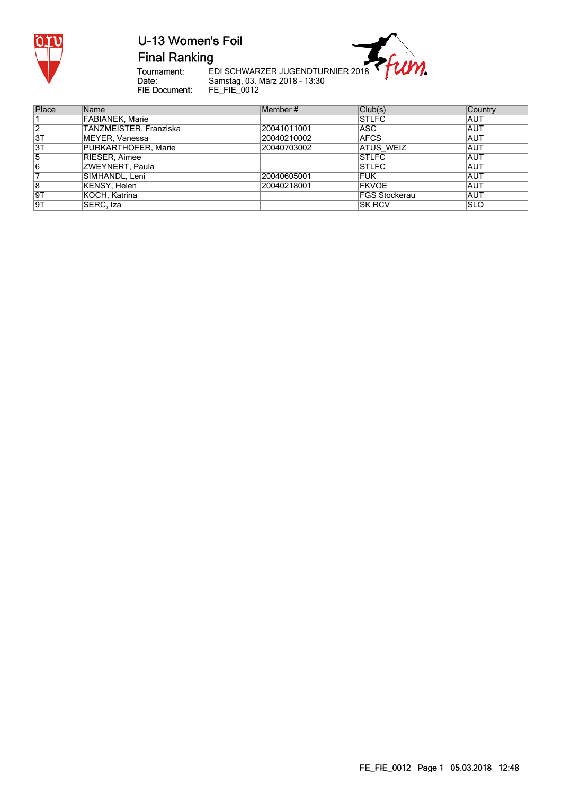



**Final Ranking** 

Tournament:<br>Date: FIE Document:

EDI SCHWARZER JUGENDTURNIER 2018<br>Samstag, 03. März 2018 - 13:30<br>FE\_FIE\_0012

| Place           | Name                   | Member#     | Club(s)              | Country    |
|-----------------|------------------------|-------------|----------------------|------------|
|                 | FABIANEK, Marie        |             | <b>ISTLFC</b>        | AUT        |
| $\overline{2}$  | TANZMEISTER, Franziska | 20041011001 | IASC.                | AUT        |
| $\overline{3T}$ | MEYER, Vanessa         | 20040210002 | <b>AFCS</b>          | <b>AUT</b> |
| $\overline{3T}$ | PURKARTHOFER, Marie    | 20040703002 | <b>ATUS WEIZ</b>     | <b>AUT</b> |
| 5               | RIESER, Aimee          |             | <b>STLFC</b>         | <b>AUT</b> |
| 16              | ZWEYNERT, Paula        |             | <b>STLFC</b>         | <b>AUT</b> |
|                 | SIMHANDL, Leni         | 20040605001 | <b>IFUK</b>          | <b>AUT</b> |
| 18              | KENSY, Helen           | 20040218001 | <b>IFKVOE</b>        | AUT        |
| 9T              | KOCH, Katrina          |             | <b>FGS Stockerau</b> | <b>AUT</b> |
| 9T              | SERC, Iza              |             | ISK RCV              | ISLO       |